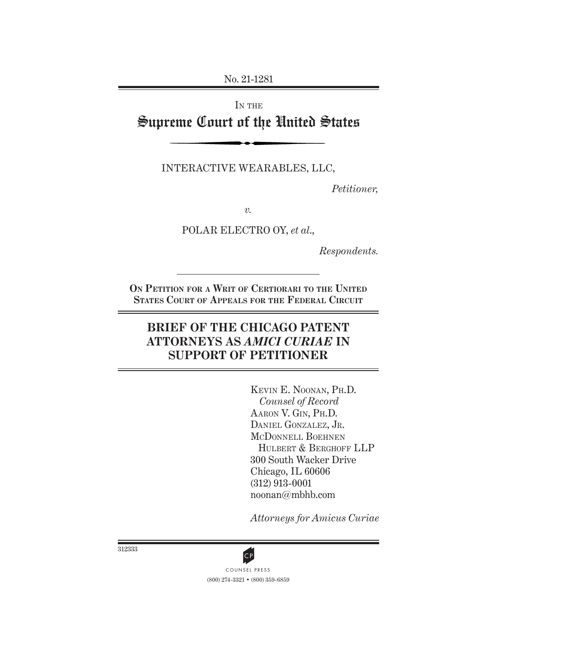No. 21-1281

# IN THE Supreme Court of the United States

INTERACTIVE WEARABLES, LLC,

*Petitioner,*

*v.*

POLAR ELECTRO OY, *et al*.,

*Respondents.*

**On Petition for a Writ of Certiorari to the United States Court of Appeals for the Federal Circuit**

## **BRIEF OF THE CHICAGO PATENT ATTORNEYS AS** *AMICI CURIAE* **IN SUPPORT OF PETITIONER**

Kevin E. Noonan, Ph.D. *Counsel of Record* Aaron V. Gin, Ph.D. DANIEL GONZALEZ, JR. McDonnell Boehnen HULBERT & BERGHOFF LLP 300 South Wacker Drive Chicago, IL 60606 (312) 913-0001 noonan@mbhb.com

*Attorneys for Amicus Curiae*

312333



(800) 274-3321 • (800) 359-6859 CP<br>COUNSEL PRESS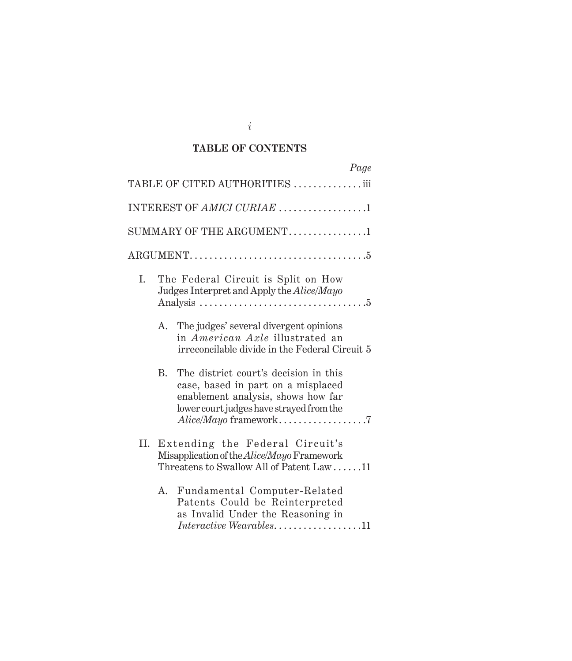## **TABLE OF CONTENTS**

|    |                                                                                                                                                                        | Page                                                                                                                                                          |  |  |
|----|------------------------------------------------------------------------------------------------------------------------------------------------------------------------|---------------------------------------------------------------------------------------------------------------------------------------------------------------|--|--|
|    |                                                                                                                                                                        | TABLE OF CITED AUTHORITIES iii                                                                                                                                |  |  |
|    |                                                                                                                                                                        | INTEREST OF AMICI CURIAE 1                                                                                                                                    |  |  |
|    |                                                                                                                                                                        | SUMMARY OF THE ARGUMENT1                                                                                                                                      |  |  |
|    |                                                                                                                                                                        |                                                                                                                                                               |  |  |
| I. | The Federal Circuit is Split on How<br>Judges Interpret and Apply the Alice/Mayo<br>Analysis $\dots \dots \dots \dots \dots \dots \dots \dots \dots \dots \dots \dots$ |                                                                                                                                                               |  |  |
|    | A.                                                                                                                                                                     | The judges' several divergent opinions<br>in American Axle illustrated an<br>irreconcilable divide in the Federal Circuit 5                                   |  |  |
|    | <b>B.</b>                                                                                                                                                              | The district court's decision in this<br>case, based in part on a misplaced<br>enablement analysis, shows how far<br>lower court judges have strayed from the |  |  |
| П. | Extending the Federal Circuit's<br>Misapplication of the <i>Alice</i> /Mayo Framework<br>Threatens to Swallow All of Patent Law $\dots$ .11                            |                                                                                                                                                               |  |  |
|    | А.                                                                                                                                                                     | Fundamental Computer-Related<br>Patents Could be Reinterpreted<br>as Invalid Under the Reasoning in<br>$\emph{Interactive Weak}$ Wearables11                  |  |  |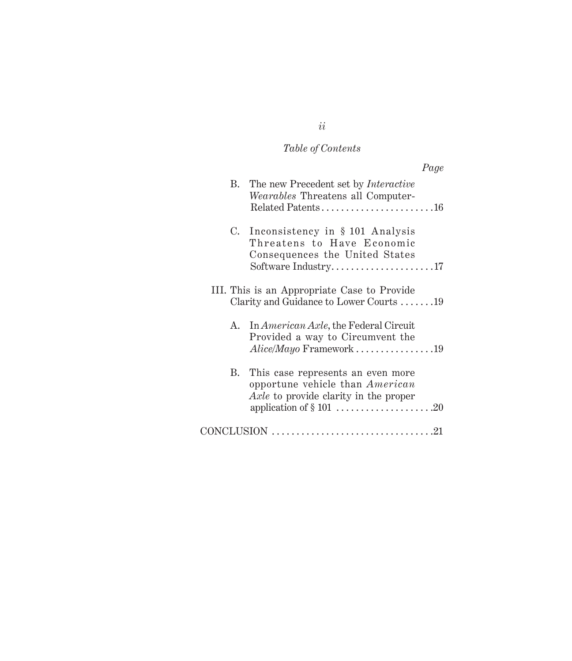# *Table of Contents*

|    | Page                                                                                                                                           |
|----|------------------------------------------------------------------------------------------------------------------------------------------------|
|    | B. The new Precedent set by <i>Interactive</i><br>Wearables Threatens all Computer-                                                            |
| C. | Inconsistency in § 101 Analysis<br>Threatens to Have Economic<br>Consequences the United States<br>Software Industry17                         |
|    | III. This is an Appropriate Case to Provide<br>Clarity and Guidance to Lower Courts 19                                                         |
| A. | In <i>American Axle</i> , the Federal Circuit<br>Provided a way to Circumvent the<br>$Alice/Mayo$ Framework 19                                 |
|    | B. This case represents an even more<br>opportune vehicle than American<br>Axle to provide clarity in the proper<br>application of $\S 101$ 20 |
|    |                                                                                                                                                |

*ii*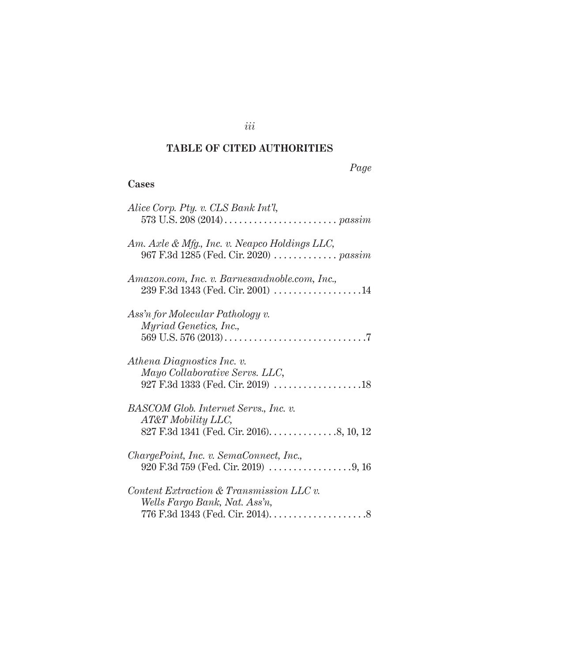## **TABLE OF CITED AUTHORITIES**

## *Page*

## **Cases**

| Alice Corp. Pty. v. CLS Bank Int'l,                                                           |
|-----------------------------------------------------------------------------------------------|
| Am. Axle & Mfg., Inc. v. Neapco Holdings LLC,<br>967 F.3d 1285 (Fed. Cir. 2020) <i>passim</i> |
| Amazon.com, Inc. v. Barnesandnoble.com, Inc.,<br>$239$ F.3d 1343 (Fed. Cir. 2001) 14          |
| Ass'n for Molecular Pathology v.<br><i>Myriad Genetics, Inc.,</i>                             |
| Athena Diagnostics Inc. v.<br>Mayo Collaborative Servs. LLC,                                  |
| BASCOM Glob. Internet Servs., Inc. v.<br>AT&T Mobility LLC,                                   |
| ChargePoint, Inc. v. SemaConnect, Inc.,                                                       |
| $Content \, Extraction \& \, Transmission \, LLC \, v.$<br>Wells Fargo Bank, Nat. Ass'n,      |

*iii*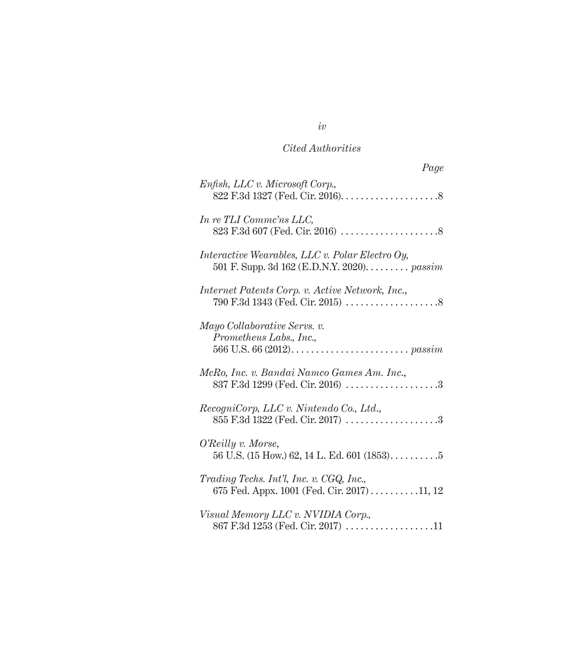## *Cited Authorities*

| Page                                                                                                  |
|-------------------------------------------------------------------------------------------------------|
| Enfish, LLC v. Microsoft Corp.,                                                                       |
| In re TLI Commc'ns LLC,                                                                               |
| <i>Interactive Wearables, LLC v. Polar Electro Oy,</i><br>501 F. Supp. 3d 162 (E.D.N.Y. 2020). passim |
| Internet Patents Corp. v. Active Network, Inc.,                                                       |
| Mayo Collaborative Servs. v.<br>Prometheus Labs., Inc.,                                               |
| McRo, Inc. v. Bandai Namco Games Am. Inc.,<br>837 F.3d 1299 (Fed. Cir. 2016) 3                        |
| RecogniCorp, LLC v. Nintendo Co., Ltd.,<br>855 F.3d 1322 (Fed. Cir. 2017) 3                           |
| O'Reilly v. Morse,                                                                                    |
| Trading Techs. Int'l, Inc. v. CGQ, Inc.,<br>675 Fed. Appx. 1001 (Fed. Cir. 2017) 11, 12               |
| Visual Memory LLC v. NVIDIA Corp.,<br>867 F.3d 1253 (Fed. Cir. 2017) 11                               |

*iv*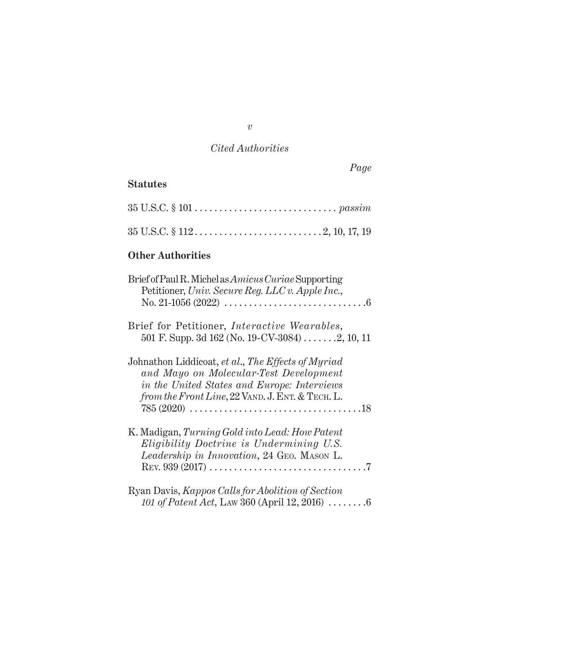## *Cited Authorities*

*Page*

## **Statutes**

| $35 \text{ U.S.C.} \S 101 \ldots \ldots \ldots \ldots \ldots \ldots \ldots \ldots \ldots \text{passim}$ |  |
|---------------------------------------------------------------------------------------------------------|--|
|                                                                                                         |  |

## **Other Authorities**

| Brief of Paul R. Michel as <i>Amicus Curiae</i> Supporting<br>Petitioner, Univ. Secure Reg. LLC v. Apple Inc.,                                                                                  |  |
|-------------------------------------------------------------------------------------------------------------------------------------------------------------------------------------------------|--|
| Brief for Petitioner, Interactive Wearables,<br>501 F. Supp. 3d $162$ (No. 19-CV-3084) 2, 10, 11                                                                                                |  |
| Johnathon Liddicoat, et al., The Effects of Myriad<br>and Mayo on Molecular-Test Development<br>in the United States and Europe: Interviews<br>from the Front Line, 22 VAND. J. ENT. & TECH. L. |  |
| K. Madigan, Turning Gold into Lead: How Patent<br>Eligibility Doctrine is Undermining U.S.<br>Leadership in Innovation, 24 GEO. MASON L.                                                        |  |
| Ryan Davis, Kappos Calls for Abolition of Section<br>101 of Patent Act, LAW 360 (April 12, 2016) $\ldots \ldots \ldots$                                                                         |  |

*v*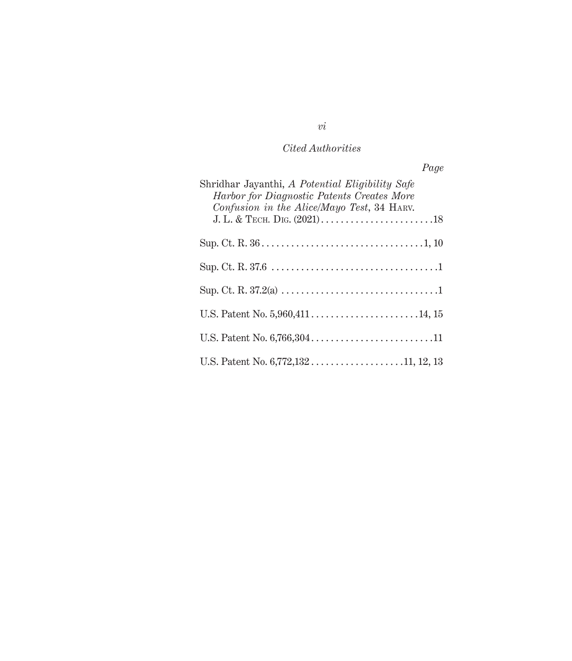## *Cited Authorities*

| Page                                                                                                                                        |  |
|---------------------------------------------------------------------------------------------------------------------------------------------|--|
| Shridhar Jayanthi, A Potential Eligibility Safe<br>Harbor for Diagnostic Patents Creates More<br>Confusion in the Alice/Mayo Test, 34 HARV. |  |
|                                                                                                                                             |  |
|                                                                                                                                             |  |
|                                                                                                                                             |  |
|                                                                                                                                             |  |
|                                                                                                                                             |  |
|                                                                                                                                             |  |

*vi*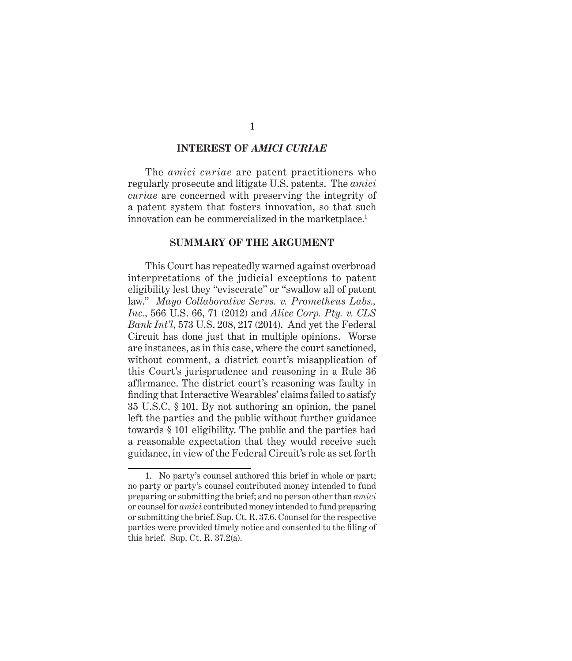#### **INTEREST OF** *AMICI CURIAE*

The *amici curiae* are patent practitioners who regularly prosecute and litigate U.S. patents. The *amici curiae* are concerned with preserving the integrity of a patent system that fosters innovation, so that such innovation can be commercialized in the marketplace.<sup>1</sup>

#### **SUMMARY OF THE ARGUMENT**

This Court has repeatedly warned against overbroad interpretations of the judicial exceptions to patent eligibility lest they "eviscerate" or "swallow all of patent law." *Mayo Collaborative Servs. v. Prometheus Labs., Inc.*, 566 U.S. 66, 71 (2012) and *Alice Corp. Pty. v. CLS Bank Int'l*, 573 U.S. 208, 217 (2014). And yet the Federal Circuit has done just that in multiple opinions. Worse are instances, as in this case, where the court sanctioned, without comment, a district court's misapplication of this Court's jurisprudence and reasoning in a Rule 36 affirmance. The district court's reasoning was faulty in finding that Interactive Wearables' claims failed to satisfy 35 U.S.C. § 101. By not authoring an opinion, the panel left the parties and the public without further guidance towards § 101 eligibility. The public and the parties had a reasonable expectation that they would receive such guidance, in view of the Federal Circuit's role as set forth

1

<sup>1.</sup> No party's counsel authored this brief in whole or part; no party or party's counsel contributed money intended to fund preparing or submitting the brief; and no person other than *amici* or counsel for *amici* contributed money intended to fund preparing or submitting the brief. Sup. Ct. R. 37.6. Counsel for the respective parties were provided timely notice and consented to the filing of this brief. Sup. Ct. R.  $37.2(a)$ .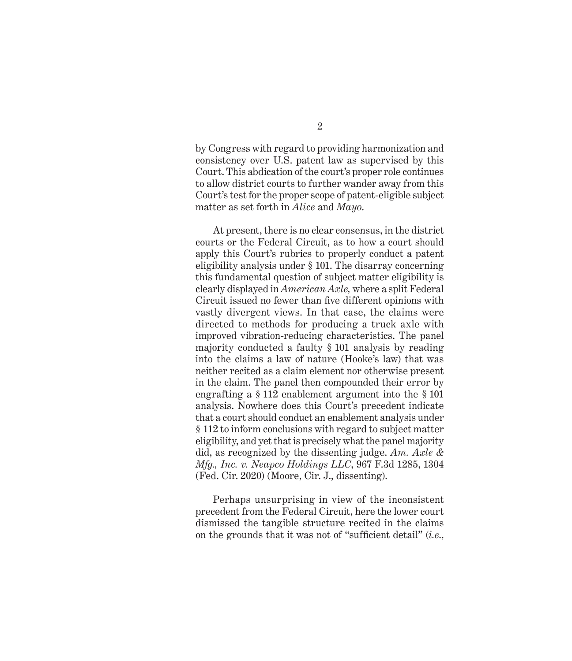by Congress with regard to providing harmonization and consistency over U.S. patent law as supervised by this Court. This abdication of the court's proper role continues to allow district courts to further wander away from this Court's test for the proper scope of patent-eligible subject matter as set forth in *Alice* and *Mayo*.

At present, there is no clear consensus, in the district courts or the Federal Circuit, as to how a court should apply this Court's rubrics to properly conduct a patent eligibility analysis under § 101. The disarray concerning this fundamental question of subject matter eligibility is clearly displayed in *American Axle,* where a split Federal Circuit issued no fewer than five different opinions with vastly divergent views. In that case, the claims were directed to methods for producing a truck axle with improved vibration-reducing characteristics. The panel majority conducted a faulty § 101 analysis by reading into the claims a law of nature (Hooke's law) that was neither recited as a claim element nor otherwise present in the claim. The panel then compounded their error by engrafting a § 112 enablement argument into the § 101 analysis. Nowhere does this Court's precedent indicate that a court should conduct an enablement analysis under § 112 to inform conclusions with regard to subject matter eligibility, and yet that is precisely what the panel majority did, as recognized by the dissenting judge. *Am. Axle & Mfg., Inc. v. Neapco Holdings LLC*, 967 F.3d 1285, 1304 (Fed. Cir. 2020) (Moore, Cir. J., dissenting).

Perhaps unsurprising in view of the inconsistent precedent from the Federal Circuit, here the lower court dismissed the tangible structure recited in the claims on the grounds that it was not of "sufficient detail" (*i.e*.,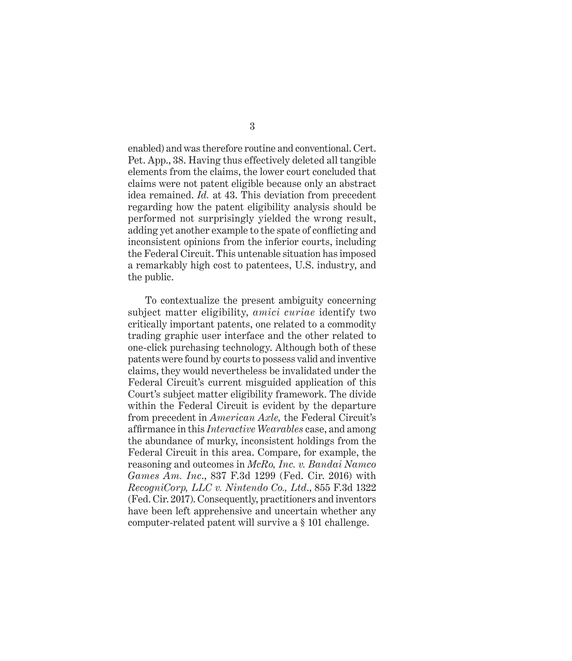enabled) and was therefore routine and conventional. Cert. Pet. App., 38. Having thus effectively deleted all tangible elements from the claims, the lower court concluded that claims were not patent eligible because only an abstract idea remained. *Id.* at 43. This deviation from precedent regarding how the patent eligibility analysis should be performed not surprisingly yielded the wrong result, adding yet another example to the spate of conflicting and inconsistent opinions from the inferior courts, including the Federal Circuit. This untenable situation has imposed a remarkably high cost to patentees, U.S. industry, and the public.

To contextualize the present ambiguity concerning subject matter eligibility, *amici curiae* identify two critically important patents, one related to a commodity trading graphic user interface and the other related to one-click purchasing technology. Although both of these patents were found by courts to possess valid and inventive claims, they would nevertheless be invalidated under the Federal Circuit's current misguided application of this Court's subject matter eligibility framework. The divide within the Federal Circuit is evident by the departure from precedent in *American Axle,* the Federal Circuit's affirmance in this *Interactive Wearables* case, and among the abundance of murky, inconsistent holdings from the Federal Circuit in this area. Compare, for example, the reasoning and outcomes in *McRo, Inc. v. Bandai Namco Games Am. Inc*., 837 F.3d 1299 (Fed. Cir. 2016) with *RecogniCorp, LLC v. Nintendo Co., Ltd*., 855 F.3d 1322 (Fed. Cir. 2017). Consequently, practitioners and inventors have been left apprehensive and uncertain whether any computer-related patent will survive a § 101 challenge.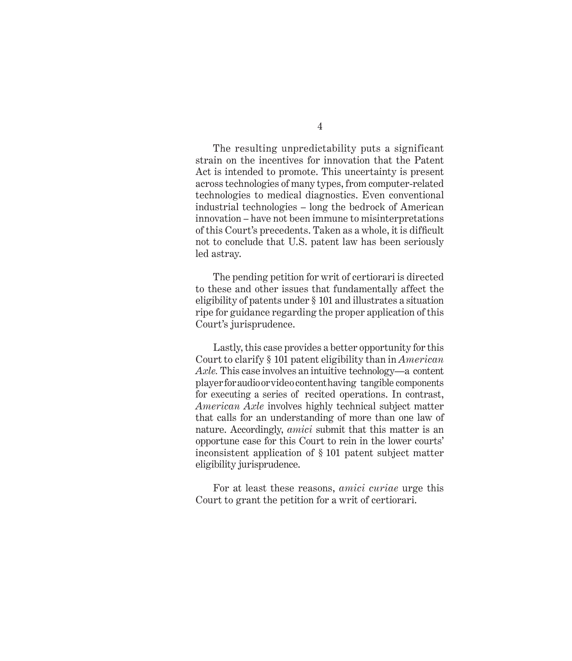The resulting unpredictability puts a significant strain on the incentives for innovation that the Patent Act is intended to promote. This uncertainty is present across technologies of many types, from computer-related technologies to medical diagnostics. Even conventional industrial technologies – long the bedrock of American innovation – have not been immune to misinterpretations of this Court's precedents. Taken as a whole, it is difficult not to conclude that U.S. patent law has been seriously led astray.

The pending petition for writ of certiorari is directed to these and other issues that fundamentally affect the eligibility of patents under § 101 and illustrates a situation ripe for guidance regarding the proper application of this Court's jurisprudence.

Lastly, this case provides a better opportunity for this Court to clarify § 101 patent eligibility than in *American Axle.* This case involves an intuitive technology—a content player for audio or video content having tangible components for executing a series of recited operations. In contrast, *American Axle* involves highly technical subject matter that calls for an understanding of more than one law of nature. Accordingly, *amici* submit that this matter is an opportune case for this Court to rein in the lower courts' inconsistent application of § 101 patent subject matter eligibility jurisprudence.

For at least these reasons, *amici curiae* urge this Court to grant the petition for a writ of certiorari.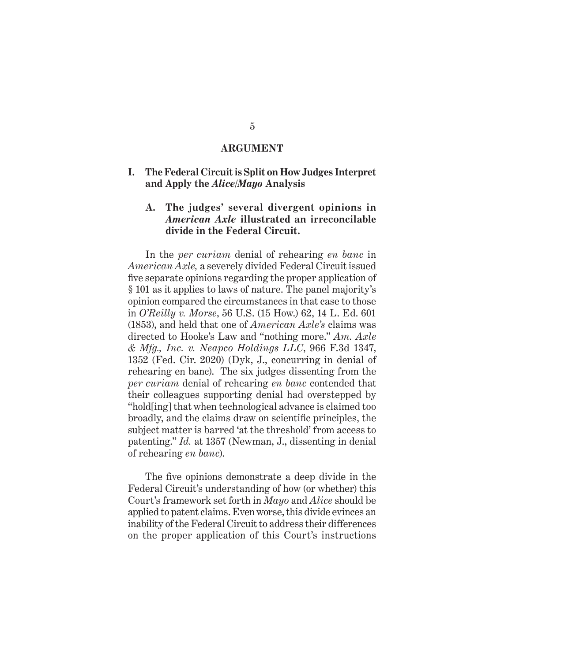#### **ARGUMENT**

**I. The Federal Circuit is Split on How Judges Interpret and Apply the** *Alice/Mayo* **Analysis**

### **A. The judges' several divergent opinions in**  *American Axle* **illustrated an irreconcilable divide in the Federal Circuit.**

In the *per curiam* denial of rehearing *en banc* in *American Axle,* a severely divided Federal Circuit issued five separate opinions regarding the proper application of § 101 as it applies to laws of nature. The panel majority's opinion compared the circumstances in that case to those in *O'Reilly v. Morse*, 56 U.S. (15 How.) 62, 14 L. Ed. 601 (1853), and held that one of *American Axle's* claims was directed to Hooke's Law and "nothing more." *Am. Axle & Mfg., Inc. v. Neapco Holdings LLC*, 966 F.3d 1347, 1352 (Fed. Cir. 2020) (Dyk, J., concurring in denial of rehearing en banc). The six judges dissenting from the *per curiam* denial of rehearing *en banc* contended that their colleagues supporting denial had overstepped by "hold[ing] that when technological advance is claimed too broadly, and the claims draw on scientific principles, the subject matter is barred 'at the threshold' from access to patenting." *Id.* at 1357 (Newman, J., dissenting in denial of rehearing *en banc*).

The five opinions demonstrate a deep divide in the Federal Circuit's understanding of how (or whether) this Court's framework set forth in *Mayo* and *Alice* should be applied to patent claims. Even worse, this divide evinces an inability of the Federal Circuit to address their differences on the proper application of this Court's instructions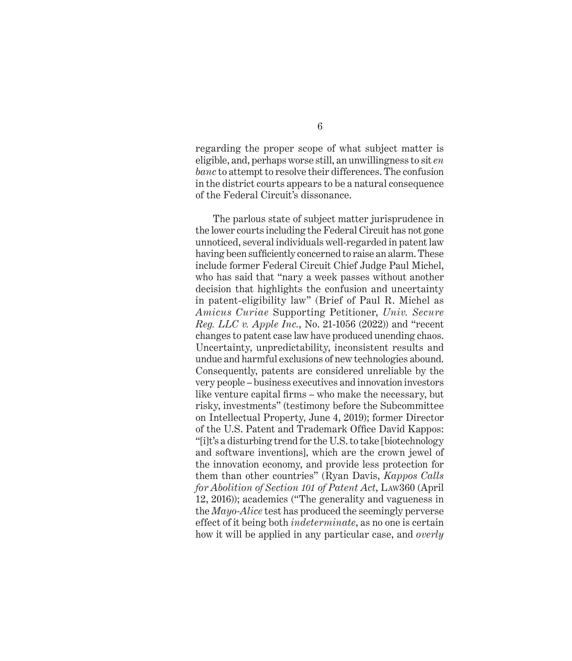regarding the proper scope of what subject matter is eligible, and, perhaps worse still, an unwillingness to sit *en banc* to attempt to resolve their differences. The confusion in the district courts appears to be a natural consequence of the Federal Circuit's dissonance.

The parlous state of subject matter jurisprudence in the lower courts including the Federal Circuit has not gone unnoticed, several individuals well-regarded in patent law having been sufficiently concerned to raise an alarm. These include former Federal Circuit Chief Judge Paul Michel, who has said that "nary a week passes without another decision that highlights the confusion and uncertainty in patent-eligibility law" (Brief of Paul R. Michel as *Amicus Curiae* Supporting Petitioner, *Univ. Secure Reg. LLC v. Apple Inc.*, No. 21-1056 (2022)) and "recent changes to patent case law have produced unending chaos. Uncertainty, unpredictability, inconsistent results and undue and harmful exclusions of new technologies abound. Consequently, patents are considered unreliable by the very people – business executives and innovation investors like venture capital firms – who make the necessary, but risky, investments" (testimony before the Subcommittee on Intellectual Property, June 4, 2019); former Director of the U.S. Patent and Trademark Office David Kappos: "[i]t's a disturbing trend for the U.S. to take [biotechnology and software inventions], which are the crown jewel of the innovation economy, and provide less protection for them than other countries" (Ryan Davis, *Kappos Calls for Abolition of Section 101 of Patent Act*, Law360 (April 12, 2016)); academics ("The generality and vagueness in the *Mayo-Alice* test has produced the seemingly perverse effect of it being both *indeterminate*, as no one is certain how it will be applied in any particular case, and *overly*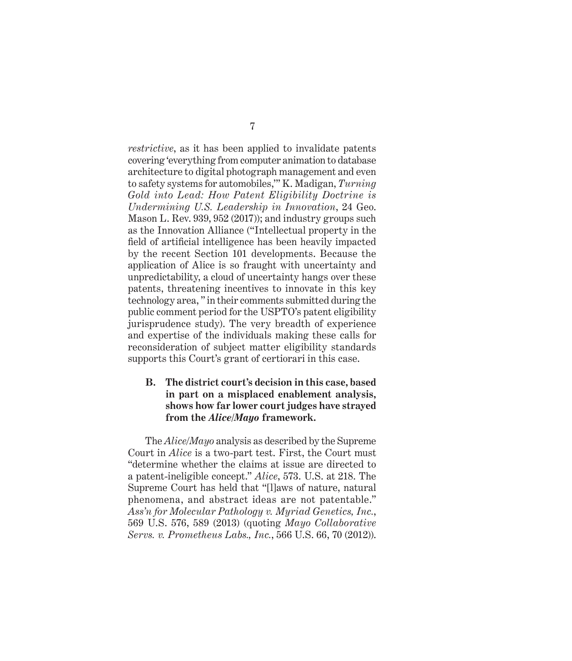*restrictive*, as it has been applied to invalidate patents covering 'everything from computer animation to database architecture to digital photograph management and even to safety systems for automobiles,'" K. Madigan, *Turning Gold into Lead: How Patent Eligibility Doctrine is Undermining U.S. Leadership in Innovation*, 24 Geo. Mason L. Rev. 939, 952 (2017)); and industry groups such as the Innovation Alliance ("Intellectual property in the field of artificial intelligence has been heavily impacted by the recent Section 101 developments. Because the application of Alice is so fraught with uncertainty and unpredictability, a cloud of uncertainty hangs over these patents, threatening incentives to innovate in this key technology area, " in their comments submitted during the public comment period for the USPTO's patent eligibility jurisprudence study). The very breadth of experience and expertise of the individuals making these calls for reconsideration of subject matter eligibility standards supports this Court's grant of certiorari in this case.

### **B. The district court's decision in this case, based in part on a misplaced enablement analysis, shows how far lower court judges have strayed from the** *Alice/Mayo* **framework.**

The *Alice*/*Mayo* analysis as described by the Supreme Court in *Alice* is a two-part test. First, the Court must "determine whether the claims at issue are directed to a patent-ineligible concept." *Alice*, 573. U.S. at 218. The Supreme Court has held that "[l]aws of nature, natural phenomena, and abstract ideas are not patentable." *Ass'n for Molecular Pathology v. Myriad Genetics, Inc.*, 569 U.S. 576, 589 (2013) (quoting *Mayo Collaborative Servs. v. Prometheus Labs., Inc.*, 566 U.S. 66, 70 (2012)).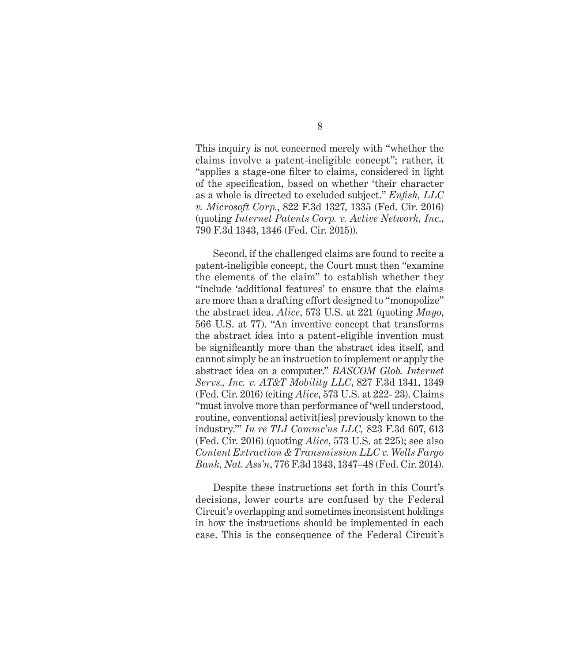This inquiry is not concerned merely with "whether the claims involve a patent-ineligible concept"; rather, it "applies a stage-one filter to claims, considered in light of the specification, based on whether 'their character as a whole is directed to excluded subject." *Enfish, LLC v. Microsoft Corp.*, 822 F.3d 1327, 1335 (Fed. Cir. 2016) (quoting *Internet Patents Corp. v. Active Network, Inc*., 790 F.3d 1343, 1346 (Fed. Cir. 2015)).

Second, if the challenged claims are found to recite a patent-ineligible concept, the Court must then "examine the elements of the claim" to establish whether they "include 'additional features' to ensure that the claims are more than a drafting effort designed to "monopolize" the abstract idea. *Alice*, 573 U.S. at 221 (quoting *Mayo*, 566 U.S. at 77). "An inventive concept that transforms the abstract idea into a patent-eligible invention must be significantly more than the abstract idea itself, and cannot simply be an instruction to implement or apply the abstract idea on a computer." *BASCOM Glob. Internet Servs., Inc. v. AT&T Mobility LLC*, 827 F.3d 1341, 1349 (Fed. Cir. 2016) (citing *Alice*, 573 U.S. at 222- 23). Claims "must involve more than performance of 'well understood, routine, conventional activit[ies] previously known to the industry.'" *In re TLI Commc'ns LLC,* 823 F.3d 607, 613 (Fed. Cir. 2016) (quoting *Alice*, 573 U.S. at 225); see also *Content Extraction & Transmission LLC v. Wells Fargo Bank, Nat. Ass'n*, 776 F.3d 1343, 1347–48 (Fed. Cir. 2014).

Despite these instructions set forth in this Court's decisions, lower courts are confused by the Federal Circuit's overlapping and sometimes inconsistent holdings in how the instructions should be implemented in each case. This is the consequence of the Federal Circuit's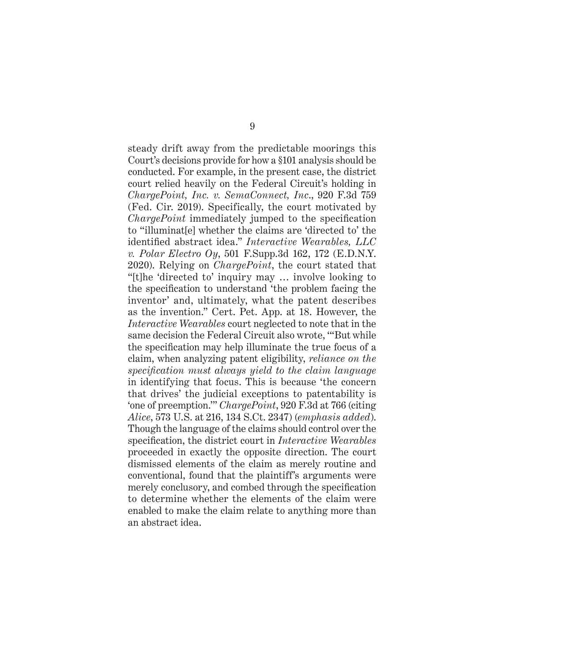steady drift away from the predictable moorings this Court's decisions provide for how a §101 analysis should be conducted. For example, in the present case, the district court relied heavily on the Federal Circuit's holding in *ChargePoint, Inc. v. SemaConnect, Inc*., 920 F.3d 759 (Fed. Cir. 2019). Specifically, the court motivated by *ChargePoint* immediately jumped to the specification to "illuminat[e] whether the claims are 'directed to' the identified abstract idea." *Interactive Wearables, LLC v. Polar Electro Oy*, 501 F.Supp.3d 162, 172 (E.D.N.Y. 2020). Relying on *ChargePoint*, the court stated that "[t]he 'directed to' inquiry may … involve looking to the specification to understand 'the problem facing the inventor' and, ultimately, what the patent describes as the invention." Cert. Pet. App. at 18. However, the *Interactive Wearables* court neglected to note that in the same decision the Federal Circuit also wrote, '"But while the specification may help illuminate the true focus of a claim, when analyzing patent eligibility, *reliance on the specification must always yield to the claim language* in identifying that focus. This is because 'the concern that drives' the judicial exceptions to patentability is 'one of preemption.'" *ChargePoint*, 920 F.3d at 766 (citing *Alice*, 573 U.S. at 216, 134 S.Ct. 2347) (*emphasis added*). Though the language of the claims should control over the specification, the district court in *Interactive Wearables*  proceeded in exactly the opposite direction. The court dismissed elements of the claim as merely routine and conventional, found that the plaintiff's arguments were merely conclusory, and combed through the specification to determine whether the elements of the claim were enabled to make the claim relate to anything more than an abstract idea.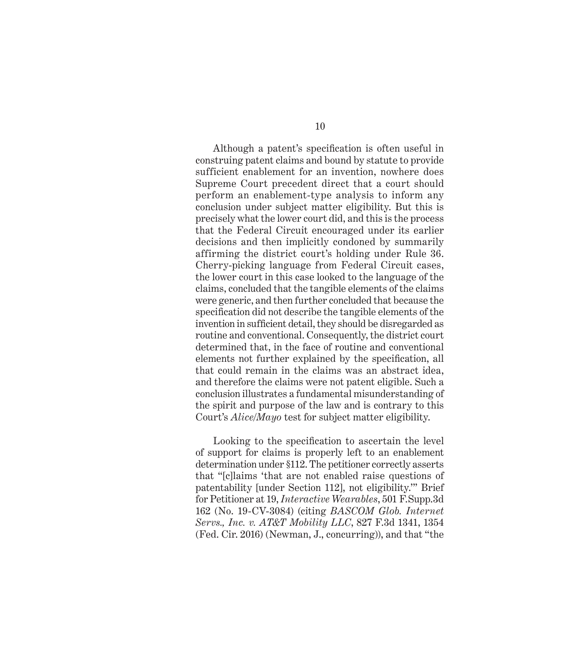Although a patent's specification is often useful in construing patent claims and bound by statute to provide sufficient enablement for an invention, nowhere does Supreme Court precedent direct that a court should perform an enablement-type analysis to inform any conclusion under subject matter eligibility. But this is precisely what the lower court did, and this is the process that the Federal Circuit encouraged under its earlier decisions and then implicitly condoned by summarily affirming the district court's holding under Rule 36. Cherry-picking language from Federal Circuit cases, the lower court in this case looked to the language of the claims, concluded that the tangible elements of the claims were generic, and then further concluded that because the specification did not describe the tangible elements of the invention in sufficient detail, they should be disregarded as routine and conventional. Consequently, the district court determined that, in the face of routine and conventional elements not further explained by the specification, all that could remain in the claims was an abstract idea, and therefore the claims were not patent eligible. Such a conclusion illustrates a fundamental misunderstanding of the spirit and purpose of the law and is contrary to this Court's *Alice/Mayo* test for subject matter eligibility.

Looking to the specification to ascertain the level of support for claims is properly left to an enablement determination under §112. The petitioner correctly asserts that "[c]laims 'that are not enabled raise questions of patentability [under Section 112], not eligibility.'" Brief for Petitioner at 19, *Interactive Wearables*, 501 F.Supp.3d 162 (No. 19-CV-3084) (citing *BASCOM Glob. Internet Servs., Inc. v. AT&T Mobility LLC*, 827 F.3d 1341, 1354 (Fed. Cir. 2016) (Newman, J., concurring)), and that "the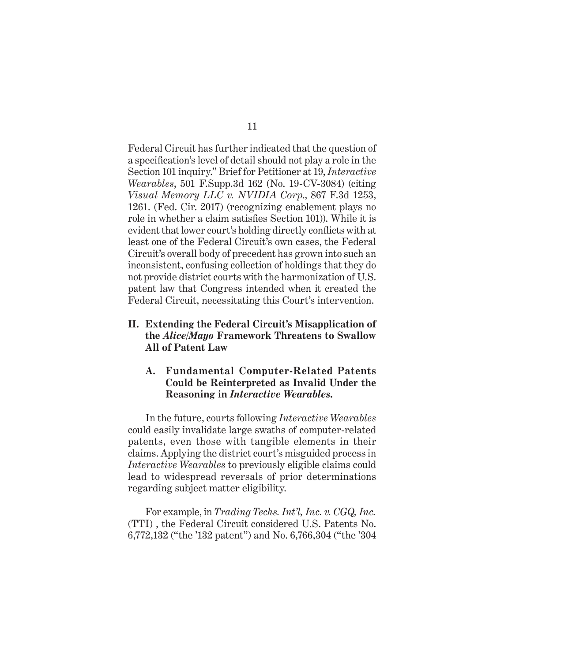Federal Circuit has further indicated that the question of a specification's level of detail should not play a role in the Section 101 inquiry." Brief for Petitioner at 19, *Interactive Wearables*, 501 F.Supp.3d 162 (No. 19-CV-3084) (citing *Visual Memory LLC v. NVIDIA Corp*., 867 F.3d 1253, 1261. (Fed. Cir. 2017) (recognizing enablement plays no role in whether a claim satisfies Section 101)). While it is evident that lower court's holding directly conflicts with at least one of the Federal Circuit's own cases, the Federal Circuit's overall body of precedent has grown into such an inconsistent, confusing collection of holdings that they do not provide district courts with the harmonization of U.S. patent law that Congress intended when it created the Federal Circuit, necessitating this Court's intervention.

**II. Extending the Federal Circuit's Misapplication of the** *Alice/Mayo* **Framework Threatens to Swallow All of Patent Law**

### **A. Fundamental Computer-Related Patents Could be Reinterpreted as Invalid Under the Reasoning in** *Interactive Wearables.*

In the future, courts following *Interactive Wearables*  could easily invalidate large swaths of computer-related patents, even those with tangible elements in their claims. Applying the district court's misguided process in *Interactive Wearables* to previously eligible claims could lead to widespread reversals of prior determinations regarding subject matter eligibility.

For example, in *Trading Techs. Int'l, Inc. v. CGQ, Inc.* (TTI) , the Federal Circuit considered U.S. Patents No. 6,772,132 ("the '132 patent") and No. 6,766,304 ("the '304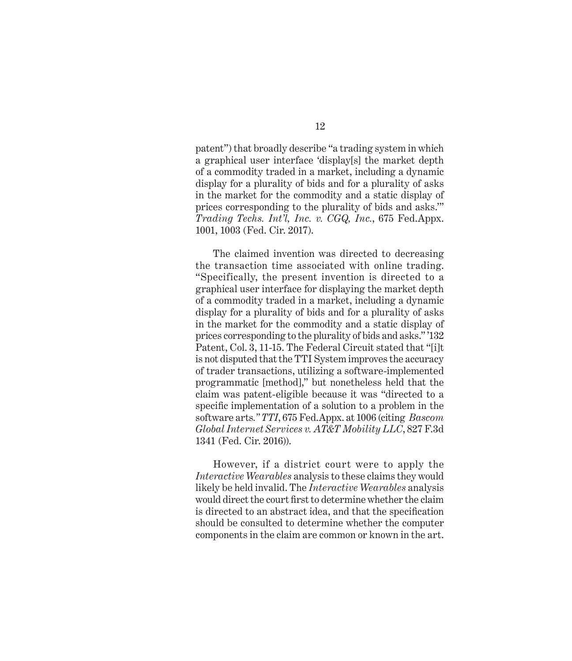patent") that broadly describe "a trading system in which a graphical user interface 'display[s] the market depth of a commodity traded in a market, including a dynamic display for a plurality of bids and for a plurality of asks in the market for the commodity and a static display of prices corresponding to the plurality of bids and asks.'" *Trading Techs. Int'l, Inc. v. CGQ, Inc.*, 675 Fed.Appx. 1001, 1003 (Fed. Cir. 2017).

The claimed invention was directed to decreasing the transaction time associated with online trading. "Specifically, the present invention is directed to a graphical user interface for displaying the market depth of a commodity traded in a market, including a dynamic display for a plurality of bids and for a plurality of asks in the market for the commodity and a static display of prices corresponding to the plurality of bids and asks." '132 Patent, Col. 3, 11-15. The Federal Circuit stated that "[i]t is not disputed that the TTI System improves the accuracy of trader transactions, utilizing a software-implemented programmatic [method]," but nonetheless held that the claim was patent-eligible because it was "directed to a specific implementation of a solution to a problem in the software arts*." TTI*, 675 Fed.Appx. at 1006 (citing *Bascom Global Internet Services v. AT&T Mobility LLC*, 827 F.3d 1341 (Fed. Cir. 2016)).

However, if a district court were to apply the *Interactive Wearables* analysis to these claims they would likely be held invalid. The *Interactive Wearables* analysis would direct the court first to determine whether the claim is directed to an abstract idea, and that the specification should be consulted to determine whether the computer components in the claim are common or known in the art.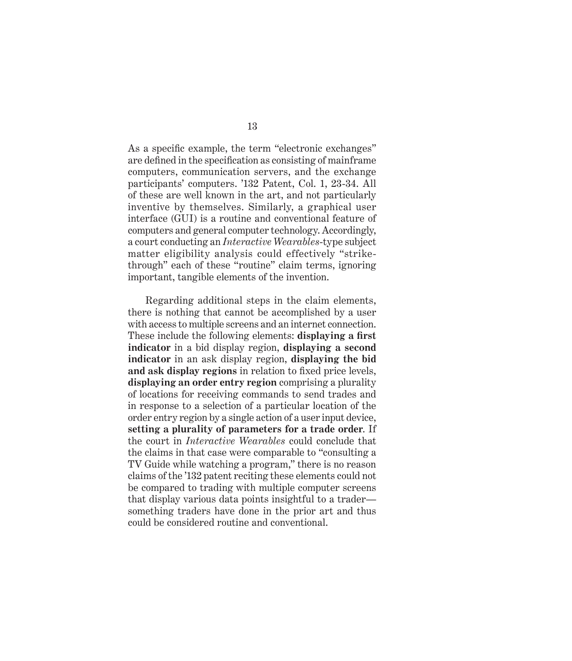As a specific example, the term "electronic exchanges" are defined in the specification as consisting of mainframe computers, communication servers, and the exchange participants' computers. '132 Patent, Col. 1, 23-34. All of these are well known in the art, and not particularly inventive by themselves. Similarly, a graphical user interface (GUI) is a routine and conventional feature of computers and general computer technology. Accordingly, a court conducting an *Interactive Wearables*-type subject matter eligibility analysis could effectively "strikethrough" each of these "routine" claim terms, ignoring important, tangible elements of the invention.

Regarding additional steps in the claim elements, there is nothing that cannot be accomplished by a user with access to multiple screens and an internet connection. These include the following elements: **displaying a first indicator** in a bid display region, **displaying a second indicator** in an ask display region, **displaying the bid and ask display regions** in relation to fixed price levels, **displaying an order entry region** comprising a plurality of locations for receiving commands to send trades and in response to a selection of a particular location of the order entry region by a single action of a user input device, **setting a plurality of parameters for a trade order**. If the court in *Interactive Wearables* could conclude that the claims in that case were comparable to "consulting a TV Guide while watching a program," there is no reason claims of the '132 patent reciting these elements could not be compared to trading with multiple computer screens that display various data points insightful to a trader something traders have done in the prior art and thus could be considered routine and conventional.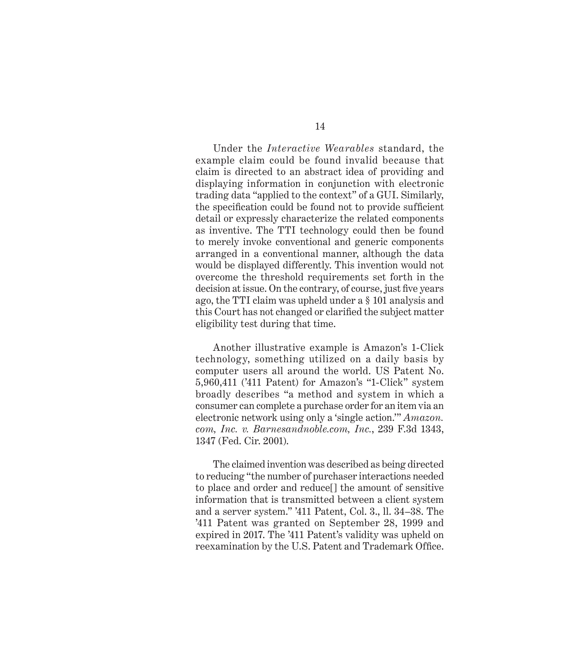Under the *Interactive Wearables* standard, the example claim could be found invalid because that claim is directed to an abstract idea of providing and displaying information in conjunction with electronic trading data "applied to the context" of a GUI. Similarly, the specification could be found not to provide sufficient detail or expressly characterize the related components as inventive. The TTI technology could then be found to merely invoke conventional and generic components arranged in a conventional manner, although the data would be displayed differently. This invention would not overcome the threshold requirements set forth in the decision at issue. On the contrary, of course, just five years ago, the TTI claim was upheld under a § 101 analysis and this Court has not changed or clarified the subject matter eligibility test during that time.

Another illustrative example is Amazon's 1-Click technology, something utilized on a daily basis by computer users all around the world. US Patent No. 5,960,411 ('411 Patent) for Amazon's "1-Click" system broadly describes "a method and system in which a consumer can complete a purchase order for an item via an electronic network using only a 'single action.'" *Amazon. com, Inc. v. Barnesandnoble.com, Inc.*, 239 F.3d 1343, 1347 (Fed. Cir. 2001).

The claimed invention was described as being directed to reducing "the number of purchaser interactions needed to place and order and reduce[] the amount of sensitive information that is transmitted between a client system and a server system." '411 Patent, Col. 3., ll. 34–38. The '411 Patent was granted on September 28, 1999 and expired in 2017. The '411 Patent's validity was upheld on reexamination by the U.S. Patent and Trademark Office.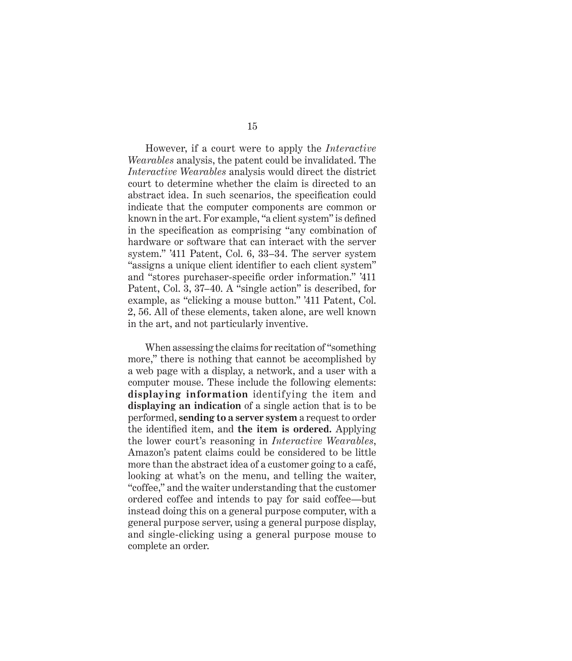However, if a court were to apply the *Interactive Wearables* analysis, the patent could be invalidated. The *Interactive Wearables* analysis would direct the district court to determine whether the claim is directed to an abstract idea. In such scenarios, the specification could indicate that the computer components are common or known in the art. For example, "a client system" is defined in the specification as comprising "any combination of hardware or software that can interact with the server system." '411 Patent, Col. 6, 33–34. The server system "assigns a unique client identifier to each client system" and "stores purchaser-specific order information." '411 Patent, Col. 3, 37–40. A "single action" is described, for example, as "clicking a mouse button." '411 Patent, Col. 2, 56. All of these elements, taken alone, are well known in the art, and not particularly inventive.

When assessing the claims for recitation of "something more," there is nothing that cannot be accomplished by a web page with a display, a network, and a user with a computer mouse. These include the following elements: **displaying information** identifying the item and **displaying an indication** of a single action that is to be performed, **sending to a server system** a request to order the identified item, and **the item is ordered.** Applying the lower court's reasoning in *Interactive Wearables*, Amazon's patent claims could be considered to be little more than the abstract idea of a customer going to a café, looking at what's on the menu, and telling the waiter, "coffee," and the waiter understanding that the customer ordered coffee and intends to pay for said coffee—but instead doing this on a general purpose computer, with a general purpose server, using a general purpose display, and single-clicking using a general purpose mouse to complete an order.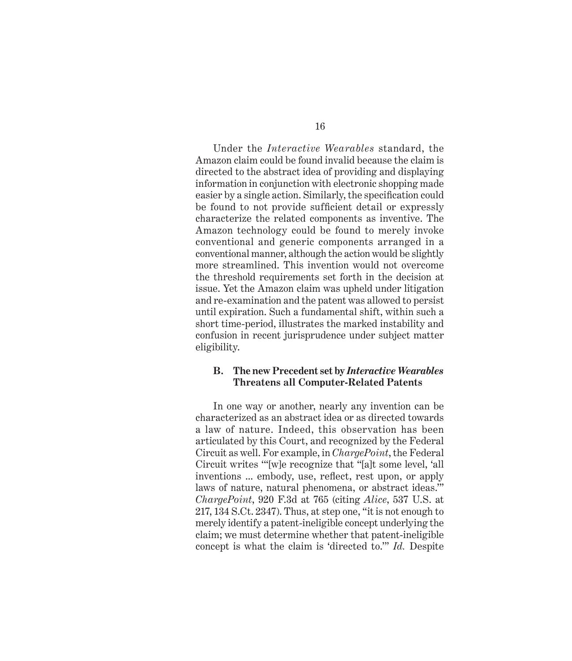Under the *Interactive Wearables* standard, the Amazon claim could be found invalid because the claim is directed to the abstract idea of providing and displaying information in conjunction with electronic shopping made easier by a single action. Similarly, the specification could be found to not provide sufficient detail or expressly characterize the related components as inventive. The Amazon technology could be found to merely invoke conventional and generic components arranged in a conventional manner, although the action would be slightly more streamlined. This invention would not overcome the threshold requirements set forth in the decision at issue. Yet the Amazon claim was upheld under litigation and re-examination and the patent was allowed to persist until expiration. Such a fundamental shift, within such a short time-period, illustrates the marked instability and confusion in recent jurisprudence under subject matter eligibility.

#### **B. The new Precedent set by** *Interactive Wearables*  **Threatens all Computer-Related Patents**

In one way or another, nearly any invention can be characterized as an abstract idea or as directed towards a law of nature. Indeed, this observation has been articulated by this Court, and recognized by the Federal Circuit as well. For example, in *ChargePoint*, the Federal Circuit writes '"[w]e recognize that "[a]t some level, 'all inventions ... embody, use, reflect, rest upon, or apply laws of nature, natural phenomena, or abstract ideas.'" *ChargePoint*, 920 F.3d at 765 (citing *Alice*, 537 U.S. at 217, 134 S.Ct. 2347). Thus, at step one, "it is not enough to merely identify a patent-ineligible concept underlying the claim; we must determine whether that patent-ineligible concept is what the claim is 'directed to.'" *Id.* Despite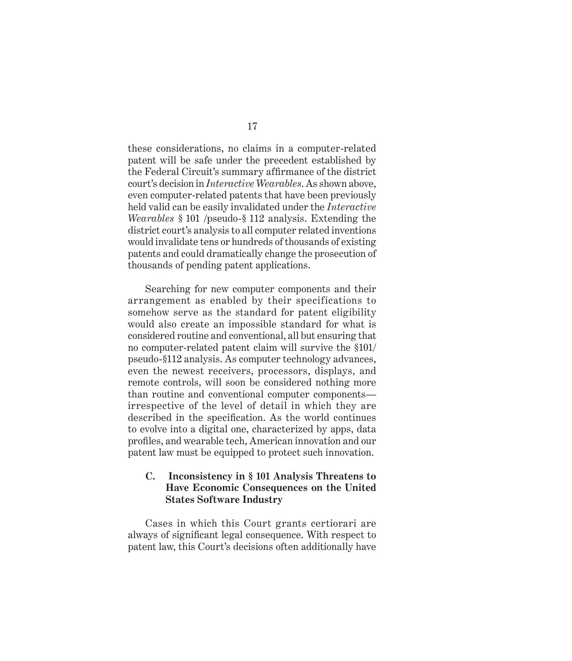these considerations, no claims in a computer-related patent will be safe under the precedent established by the Federal Circuit's summary affirmance of the district court's decision in *Interactive Wearables*. As shown above, even computer-related patents that have been previously held valid can be easily invalidated under the *Interactive Wearables* § 101 /pseudo-§ 112 analysis. Extending the district court's analysis to all computer related inventions would invalidate tens or hundreds of thousands of existing patents and could dramatically change the prosecution of thousands of pending patent applications.

Searching for new computer components and their arrangement as enabled by their specifications to somehow serve as the standard for patent eligibility would also create an impossible standard for what is considered routine and conventional, all but ensuring that no computer-related patent claim will survive the §101/ pseudo-§112 analysis. As computer technology advances, even the newest receivers, processors, displays, and remote controls, will soon be considered nothing more than routine and conventional computer components irrespective of the level of detail in which they are described in the specification. As the world continues to evolve into a digital one, characterized by apps, data profiles, and wearable tech, American innovation and our patent law must be equipped to protect such innovation.

### **C. Inconsistency in § 101 Analysis Threatens to Have Economic Consequences on the United States Software Industry**

Cases in which this Court grants certiorari are always of significant legal consequence. With respect to patent law, this Court's decisions often additionally have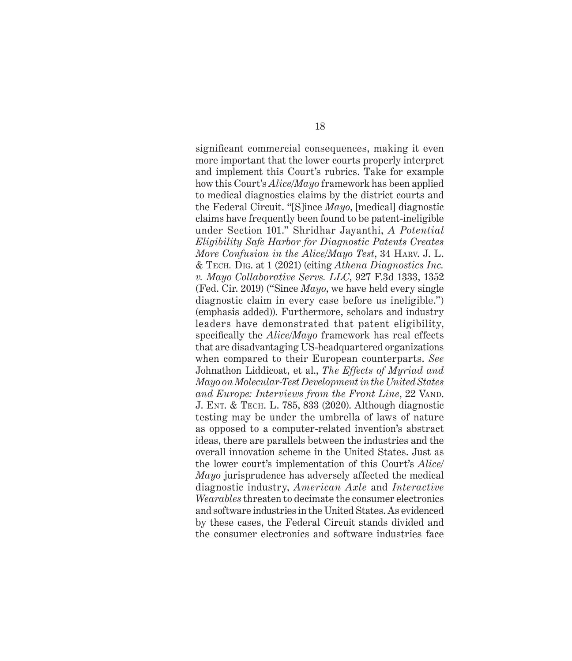significant commercial consequences, making it even more important that the lower courts properly interpret and implement this Court's rubrics. Take for example how this Court's *Alice/Mayo* framework has been applied to medical diagnostics claims by the district courts and the Federal Circuit. "[S]ince *Mayo*, [medical] diagnostic claims have frequently been found to be patent-ineligible under Section 101." Shridhar Jayanthi, *A Potential Eligibility Safe Harbor for Diagnostic Patents Creates More Confusion in the Alice/Mayo Test*, 34 Harv. J. L. & Tech*.* Dig. at 1 (2021) (citing *Athena Diagnostics Inc. v. Mayo Collaborative Servs. LLC*, 927 F.3d 1333, 1352 (Fed. Cir. 2019) ("Since *Mayo*, we have held every single diagnostic claim in every case before us ineligible.") (emphasis added)). Furthermore, scholars and industry leaders have demonstrated that patent eligibility, specifically the *Alice/Mayo* framework has real effects that are disadvantaging US-headquartered organizations when compared to their European counterparts. *See*  Johnathon Liddicoat, et al., *The Effects of Myriad and Mayo on Molecular-Test Development in the United States and Europe: Interviews from the Front Line*, 22 VAND. J. Ent. & Tech. L. 785, 833 (2020). Although diagnostic testing may be under the umbrella of laws of nature as opposed to a computer-related invention's abstract ideas, there are parallels between the industries and the overall innovation scheme in the United States. Just as the lower court's implementation of this Court's *Alice/ Mayo* jurisprudence has adversely affected the medical diagnostic industry, *American Axle* and *Interactive Wearables* threaten to decimate the consumer electronics and software industries in the United States. As evidenced by these cases, the Federal Circuit stands divided and the consumer electronics and software industries face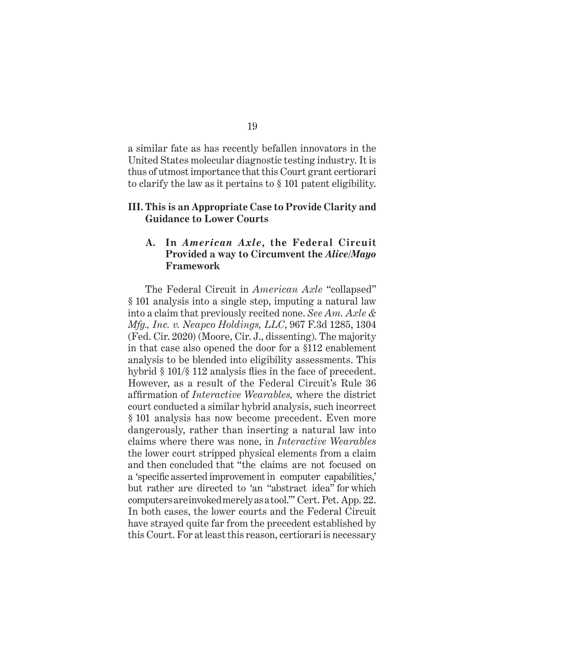a similar fate as has recently befallen innovators in the United States molecular diagnostic testing industry. It is thus of utmost importance that this Court grant certiorari to clarify the law as it pertains to § 101 patent eligibility.

#### **III. This is an Appropriate Case to Provide Clarity and Guidance to Lower Courts**

### **A. In** *American Axle***, the Federal Circuit Provided a way to Circumvent the** *Alice/Mayo*  **Framework**

The Federal Circuit in *American Axle* "collapsed" § 101 analysis into a single step, imputing a natural law into a claim that previously recited none. *See Am. Axle & Mfg., Inc. v. Neapco Holdings, LLC*, 967 F.3d 1285, 1304 (Fed. Cir. 2020) (Moore, Cir. J., dissenting). The majority in that case also opened the door for a §112 enablement analysis to be blended into eligibility assessments. This hybrid § 101/§ 112 analysis flies in the face of precedent. However, as a result of the Federal Circuit's Rule 36 affirmation of *Interactive Wearables,* where the district court conducted a similar hybrid analysis, such incorrect § 101 analysis has now become precedent. Even more dangerously, rather than inserting a natural law into claims where there was none, in *Interactive Wearables* the lower court stripped physical elements from a claim and then concluded that "the claims are not focused on a 'specific asserted improvement in computer capabilities,' but rather are directed to 'an "abstract idea" for which computers are invoked merely as a tool."' Cert. Pet. App. 22. In both cases, the lower courts and the Federal Circuit have strayed quite far from the precedent established by this Court. For at least this reason, certiorari is necessary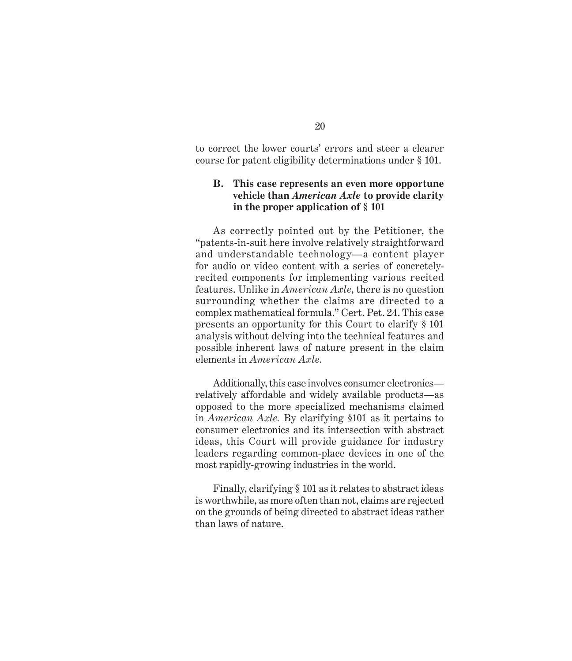to correct the lower courts' errors and steer a clearer course for patent eligibility determinations under § 101.

### **B. This case represents an even more opportune vehicle than** *American Axle* **to provide clarity in the proper application of § 101**

As correctly pointed out by the Petitioner, the "patents-in-suit here involve relatively straightforward and understandable technology—a content player for audio or video content with a series of concretelyrecited components for implementing various recited features. Unlike in *American Axle*, there is no question surrounding whether the claims are directed to a complex mathematical formula." Cert. Pet. 24. This case presents an opportunity for this Court to clarify § 101 analysis without delving into the technical features and possible inherent laws of nature present in the claim elements in *American Axle*.

Additionally, this case involves consumer electronics relatively affordable and widely available products—as opposed to the more specialized mechanisms claimed in *American Axle.* By clarifying §101 as it pertains to consumer electronics and its intersection with abstract ideas, this Court will provide guidance for industry leaders regarding common-place devices in one of the most rapidly-growing industries in the world.

Finally, clarifying § 101 as it relates to abstract ideas is worthwhile, as more often than not, claims are rejected on the grounds of being directed to abstract ideas rather than laws of nature.